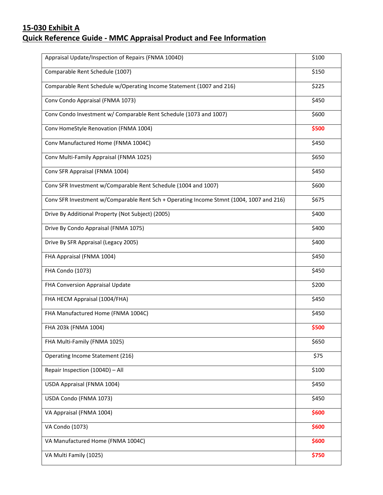## **15-030 Exhibit A Quick Reference Guide - MMC Appraisal Product and Fee Information**

| \$150<br>Comparable Rent Schedule (1007)<br>Comparable Rent Schedule w/Operating Income Statement (1007 and 216)<br>\$225<br>Conv Condo Appraisal (FNMA 1073)<br>\$450<br>Conv Condo Investment w/ Comparable Rent Schedule (1073 and 1007)<br>\$600<br>Conv HomeStyle Renovation (FNMA 1004)<br>\$500<br>Conv Manufactured Home (FNMA 1004C)<br>\$450<br>Conv Multi-Family Appraisal (FNMA 1025)<br>\$650<br>\$450<br>Conv SFR Appraisal (FNMA 1004)<br>Conv SFR Investment w/Comparable Rent Schedule (1004 and 1007)<br>\$600<br>Conv SFR Investment w/Comparable Rent Sch + Operating Income Stmnt (1004, 1007 and 216)<br>\$675<br>Drive By Additional Property (Not Subject) (2005)<br>\$400<br>Drive By Condo Appraisal (FNMA 1075)<br>\$400<br>\$400<br>Drive By SFR Appraisal (Legacy 2005)<br>FHA Appraisal (FNMA 1004)<br>\$450<br><b>FHA Condo (1073)</b><br>\$450<br>\$200<br>FHA Conversion Appraisal Update<br>\$450<br>FHA HECM Appraisal (1004/FHA)<br>\$450<br>FHA Manufactured Home (FNMA 1004C)<br>\$500<br>FHA 203k (FNMA 1004)<br>\$650<br>FHA Multi-Family (FNMA 1025)<br>\$75<br>Operating Income Statement (216)<br>\$100<br>Repair Inspection (1004D) - All<br>\$450<br>USDA Appraisal (FNMA 1004)<br>USDA Condo (FNMA 1073)<br>\$450<br>VA Appraisal (FNMA 1004)<br>\$600<br>VA Condo (1073)<br>\$600<br>VA Manufactured Home (FNMA 1004C)<br>\$600<br>\$750<br>VA Multi Family (1025) | Appraisal Update/Inspection of Repairs (FNMA 1004D) | \$100 |
|-------------------------------------------------------------------------------------------------------------------------------------------------------------------------------------------------------------------------------------------------------------------------------------------------------------------------------------------------------------------------------------------------------------------------------------------------------------------------------------------------------------------------------------------------------------------------------------------------------------------------------------------------------------------------------------------------------------------------------------------------------------------------------------------------------------------------------------------------------------------------------------------------------------------------------------------------------------------------------------------------------------------------------------------------------------------------------------------------------------------------------------------------------------------------------------------------------------------------------------------------------------------------------------------------------------------------------------------------------------------------------------------------------------------|-----------------------------------------------------|-------|
|                                                                                                                                                                                                                                                                                                                                                                                                                                                                                                                                                                                                                                                                                                                                                                                                                                                                                                                                                                                                                                                                                                                                                                                                                                                                                                                                                                                                                   |                                                     |       |
|                                                                                                                                                                                                                                                                                                                                                                                                                                                                                                                                                                                                                                                                                                                                                                                                                                                                                                                                                                                                                                                                                                                                                                                                                                                                                                                                                                                                                   |                                                     |       |
|                                                                                                                                                                                                                                                                                                                                                                                                                                                                                                                                                                                                                                                                                                                                                                                                                                                                                                                                                                                                                                                                                                                                                                                                                                                                                                                                                                                                                   |                                                     |       |
|                                                                                                                                                                                                                                                                                                                                                                                                                                                                                                                                                                                                                                                                                                                                                                                                                                                                                                                                                                                                                                                                                                                                                                                                                                                                                                                                                                                                                   |                                                     |       |
|                                                                                                                                                                                                                                                                                                                                                                                                                                                                                                                                                                                                                                                                                                                                                                                                                                                                                                                                                                                                                                                                                                                                                                                                                                                                                                                                                                                                                   |                                                     |       |
|                                                                                                                                                                                                                                                                                                                                                                                                                                                                                                                                                                                                                                                                                                                                                                                                                                                                                                                                                                                                                                                                                                                                                                                                                                                                                                                                                                                                                   |                                                     |       |
|                                                                                                                                                                                                                                                                                                                                                                                                                                                                                                                                                                                                                                                                                                                                                                                                                                                                                                                                                                                                                                                                                                                                                                                                                                                                                                                                                                                                                   |                                                     |       |
|                                                                                                                                                                                                                                                                                                                                                                                                                                                                                                                                                                                                                                                                                                                                                                                                                                                                                                                                                                                                                                                                                                                                                                                                                                                                                                                                                                                                                   |                                                     |       |
|                                                                                                                                                                                                                                                                                                                                                                                                                                                                                                                                                                                                                                                                                                                                                                                                                                                                                                                                                                                                                                                                                                                                                                                                                                                                                                                                                                                                                   |                                                     |       |
|                                                                                                                                                                                                                                                                                                                                                                                                                                                                                                                                                                                                                                                                                                                                                                                                                                                                                                                                                                                                                                                                                                                                                                                                                                                                                                                                                                                                                   |                                                     |       |
|                                                                                                                                                                                                                                                                                                                                                                                                                                                                                                                                                                                                                                                                                                                                                                                                                                                                                                                                                                                                                                                                                                                                                                                                                                                                                                                                                                                                                   |                                                     |       |
|                                                                                                                                                                                                                                                                                                                                                                                                                                                                                                                                                                                                                                                                                                                                                                                                                                                                                                                                                                                                                                                                                                                                                                                                                                                                                                                                                                                                                   |                                                     |       |
|                                                                                                                                                                                                                                                                                                                                                                                                                                                                                                                                                                                                                                                                                                                                                                                                                                                                                                                                                                                                                                                                                                                                                                                                                                                                                                                                                                                                                   |                                                     |       |
|                                                                                                                                                                                                                                                                                                                                                                                                                                                                                                                                                                                                                                                                                                                                                                                                                                                                                                                                                                                                                                                                                                                                                                                                                                                                                                                                                                                                                   |                                                     |       |
|                                                                                                                                                                                                                                                                                                                                                                                                                                                                                                                                                                                                                                                                                                                                                                                                                                                                                                                                                                                                                                                                                                                                                                                                                                                                                                                                                                                                                   |                                                     |       |
|                                                                                                                                                                                                                                                                                                                                                                                                                                                                                                                                                                                                                                                                                                                                                                                                                                                                                                                                                                                                                                                                                                                                                                                                                                                                                                                                                                                                                   |                                                     |       |
|                                                                                                                                                                                                                                                                                                                                                                                                                                                                                                                                                                                                                                                                                                                                                                                                                                                                                                                                                                                                                                                                                                                                                                                                                                                                                                                                                                                                                   |                                                     |       |
|                                                                                                                                                                                                                                                                                                                                                                                                                                                                                                                                                                                                                                                                                                                                                                                                                                                                                                                                                                                                                                                                                                                                                                                                                                                                                                                                                                                                                   |                                                     |       |
|                                                                                                                                                                                                                                                                                                                                                                                                                                                                                                                                                                                                                                                                                                                                                                                                                                                                                                                                                                                                                                                                                                                                                                                                                                                                                                                                                                                                                   |                                                     |       |
|                                                                                                                                                                                                                                                                                                                                                                                                                                                                                                                                                                                                                                                                                                                                                                                                                                                                                                                                                                                                                                                                                                                                                                                                                                                                                                                                                                                                                   |                                                     |       |
|                                                                                                                                                                                                                                                                                                                                                                                                                                                                                                                                                                                                                                                                                                                                                                                                                                                                                                                                                                                                                                                                                                                                                                                                                                                                                                                                                                                                                   |                                                     |       |
|                                                                                                                                                                                                                                                                                                                                                                                                                                                                                                                                                                                                                                                                                                                                                                                                                                                                                                                                                                                                                                                                                                                                                                                                                                                                                                                                                                                                                   |                                                     |       |
|                                                                                                                                                                                                                                                                                                                                                                                                                                                                                                                                                                                                                                                                                                                                                                                                                                                                                                                                                                                                                                                                                                                                                                                                                                                                                                                                                                                                                   |                                                     |       |
|                                                                                                                                                                                                                                                                                                                                                                                                                                                                                                                                                                                                                                                                                                                                                                                                                                                                                                                                                                                                                                                                                                                                                                                                                                                                                                                                                                                                                   |                                                     |       |
|                                                                                                                                                                                                                                                                                                                                                                                                                                                                                                                                                                                                                                                                                                                                                                                                                                                                                                                                                                                                                                                                                                                                                                                                                                                                                                                                                                                                                   |                                                     |       |
|                                                                                                                                                                                                                                                                                                                                                                                                                                                                                                                                                                                                                                                                                                                                                                                                                                                                                                                                                                                                                                                                                                                                                                                                                                                                                                                                                                                                                   |                                                     |       |
|                                                                                                                                                                                                                                                                                                                                                                                                                                                                                                                                                                                                                                                                                                                                                                                                                                                                                                                                                                                                                                                                                                                                                                                                                                                                                                                                                                                                                   |                                                     |       |
|                                                                                                                                                                                                                                                                                                                                                                                                                                                                                                                                                                                                                                                                                                                                                                                                                                                                                                                                                                                                                                                                                                                                                                                                                                                                                                                                                                                                                   |                                                     |       |